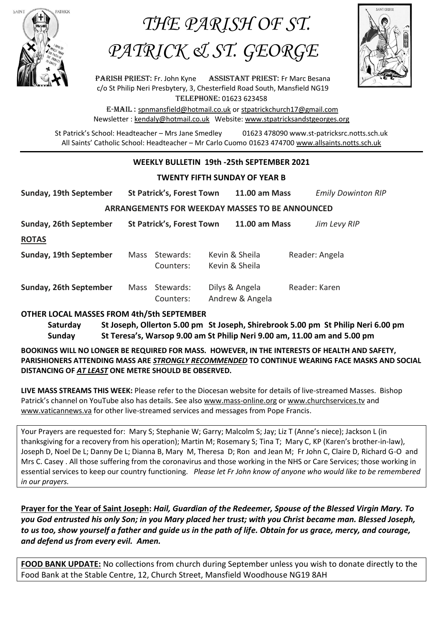

# *THE PARISH OF ST. PATRICK & ST. GEORGE*



PARISH PRIEST: Fr. John Kyne ASSISTANT PRIEST: Fr Marc Besana c/o St Philip Neri Presbytery, 3, Chesterfield Road South, Mansfield NG19 Telephone: 01623 623458

E-Mail : [spnmansfield@hotmail.co.uk](mailto:spnmansfield@hotmail.co.uk) or [stpatrickchurch17@gmail.com](mailto:stpatrickchurch17@gmail.com) Newsletter [: kendaly@hotmail.co.uk](mailto:kendaly@hotmail.co.uk) Website: [www.stpatricksandstgeorges.org](http://www.stpatricksandstgeorges.org/)

St Patrick's School: Headteacher – Mrs Jane Smedley 01623 478090 www.st-patricksrc.notts.sch.uk All Saints' Catholic School: Headteacher - Mr Carlo Cuomo 01623 474700 [www.allsaints.notts.sch.uk](http://www.allsaints.notts.sch.uk/)

## **WEEKLY BULLETIN 19th -25th SEPTEMBER 2021**

#### **TWENTY FIFTH SUNDAY OF YEAR B**

**Sunday, 19th September St Patrick's, Forest Town 11.00 am Mass** *Emily Dowinton RIP*

**ARRANGEMENTS FOR WEEKDAY MASSES TO BE ANNOUNCED**

| Sunday, 26th September | <b>St Patrick's, Forest Town</b> |                             |  | <b>11.00 am Mass</b>              | Jim Levy RIP   |
|------------------------|----------------------------------|-----------------------------|--|-----------------------------------|----------------|
| <b>ROTAS</b>           |                                  |                             |  |                                   |                |
| Sunday, 19th September |                                  | Mass Stewards:<br>Counters: |  | Kevin & Sheila<br>Kevin & Sheila  | Reader: Angela |
| Sunday, 26th September | Mass                             | Stewards:<br>Counters:      |  | Dilys & Angela<br>Andrew & Angela | Reader: Karen  |

### **OTHER LOCAL MASSES FROM 4th/5th SEPTEMBER**

**Saturday St Joseph, Ollerton 5.00 pm St Joseph, Shirebrook 5.00 pm St Philip Neri 6.00 pm Sunday St Teresa's, Warsop 9.00 am St Philip Neri 9.00 am, 11.00 am and 5.00 pm**

**BOOKINGS WILL NO LONGER BE REQUIRED FOR MASS. HOWEVER, IN THE INTERESTS OF HEALTH AND SAFETY, PARISHIONERS ATTENDING MASS ARE** *STRONGLY RECOMMENDED* **TO CONTINUE WEARING FACE MASKS AND SOCIAL DISTANCING OF** *AT LEAST* **ONE METRE SHOULD BE OBSERVED.**

**LIVE MASS STREAMS THIS WEEK:** Please refer to the Diocesan website for details of live-streamed Masses. Bishop Patrick's channel on YouTube also has details. See also [www.mass-online.org](http://www.mass-online.org/) or [www.churchservices.tv](http://www.churchservices.tv/) and [www.vaticannews.va](http://www.vaticannews.va/) for other live-streamed services and messages from Pope Francis.

Your Prayers are requested for: Mary S; Stephanie W; Garry; Malcolm S; Jay; Liz T (Anne's niece); Jackson L (in thanksgiving for a recovery from his operation); Martin M; Rosemary S; Tina T; Mary C, KP (Karen's brother-in-law), Joseph D, Noel De L; Danny De L; Dianna B, Mary M, Theresa D; Ron and Jean M; Fr John C, Claire D, Richard G-O and Mrs C. Casey . All those suffering from the coronavirus and those working in the NHS or Care Services; those working in essential services to keep our country functioning. *Please let Fr John know of anyone who would like to be remembered in our prayers.*

**Prayer for the Year of Saint Joseph:** *Hail, Guardian of the Redeemer, Spouse of the Blessed Virgin Mary. To you God entrusted his only Son; in you Mary placed her trust; with you Christ became man. Blessed Joseph, to us too, show yourself a father and guide us in the path of life. Obtain for us grace, mercy, and courage, and defend us from every evil. Amen.*

**FOOD BANK UPDATE:** No collections from church during September unless you wish to donate directly to the Food Bank at the Stable Centre, 12, Church Street, Mansfield Woodhouse NG19 8AH